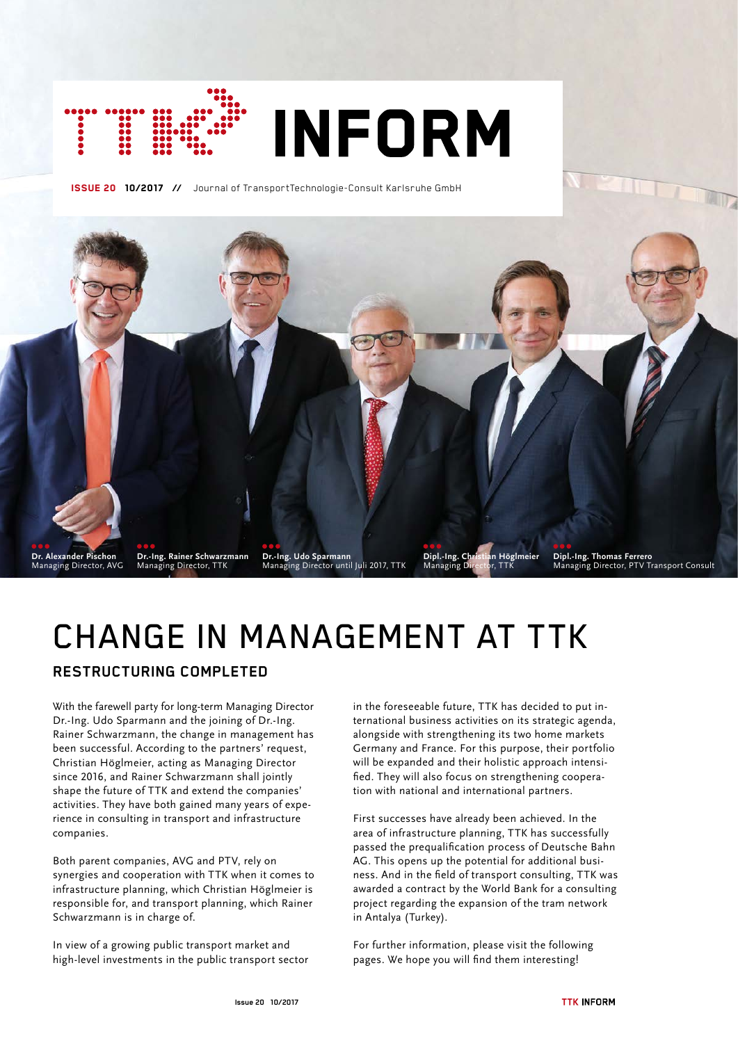

ISSUE 20 10/2017 **//** Journal of TransportTechnologie-Consult Karlsruhe GmbH



# CHANGE IN MANAGEMENT AT TTK

## **RESTRUCTURING COMPLETED**

With the farewell party for long-term Managing Director Dr.-Ing. Udo Sparmann and the joining of Dr.-Ing. Rainer Schwarzmann, the change in management has been successful. According to the partners' request, Christian Höglmeier, acting as Managing Director since 2016, and Rainer Schwarzmann shall jointly shape the future of TTK and extend the companies' activities. They have both gained many years of experience in consulting in transport and infrastructure companies.

Both parent companies, AVG and PTV, rely on synergies and cooperation with TTK when it comes to infrastructure planning, which Christian Höglmeier is responsible for, and transport planning, which Rainer Schwarzmann is in charge of.

In view of a growing public transport market and high-level investments in the public transport sector

in the foreseeable future, TTK has decided to put international business activities on its strategic agenda, alongside with strengthening its two home markets Germany and France. For this purpose, their portfolio will be expanded and their holistic approach intensified. They will also focus on strengthening cooperation with national and international partners.

First successes have already been achieved. In the area of infrastructure planning, TTK has successfully passed the prequalification process of Deutsche Bahn AG. This opens up the potential for additional business. And in the field of transport consulting, TTK was awarded a contract by the World Bank for a consulting project regarding the expansion of the tram network in Antalya (Turkey).

For further information, please visit the following pages. We hope you will find them interesting!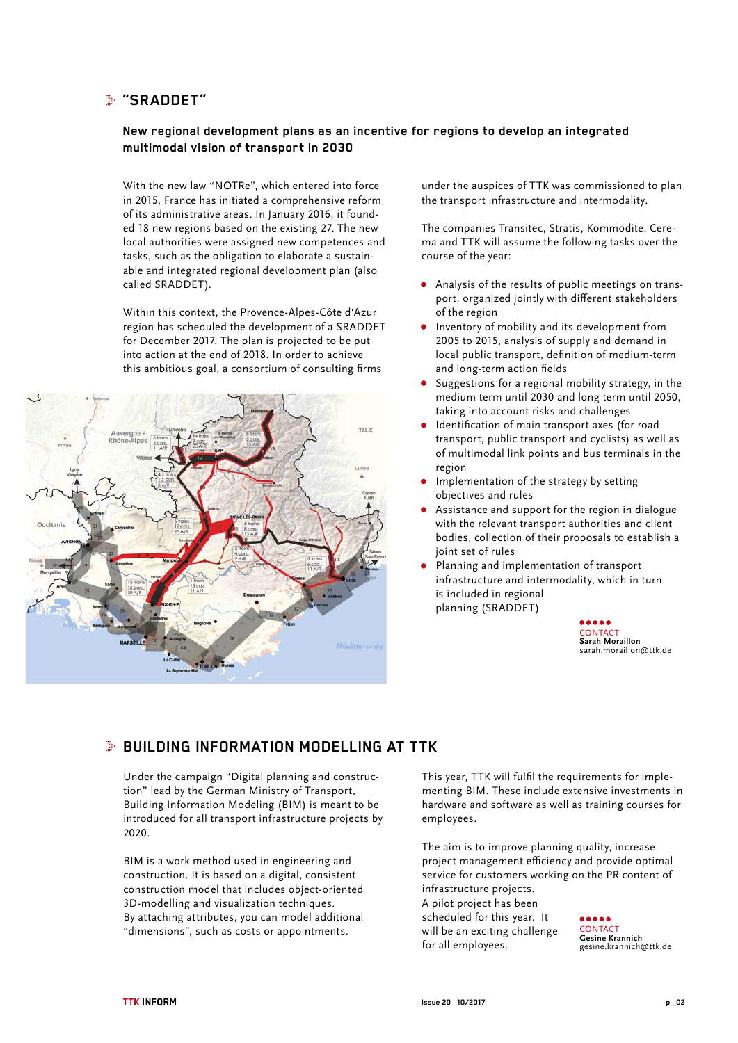## **"SRADDET"**

## **New regional development plans as an incentive for regions to develop an integrated multimodal vision of transport in 2030**

With the new law "NOTRe", which entered into force in 2015, France has initiated a comprehensive reform of its administrative areas. In January 2016, it founded 18 new regions based on the existing 27. The new local authorities were assigned new competences and tasks, such as the obligation to elaborate a sustainable and integrated regional development plan (also called SRADDET).

Within this context, the Provence-Alpes-Côte d'Azur region has scheduled the development of a SRADDET for December 2017. The plan is projected to be put into action at the end of 2018. In order to achieve this ambitious goal, a consortium of consulting firms



under the auspices of TTK was commissioned to plan the transport infrastructure and intermodality.

The companies Transitec, Stratis, Kommodite, Cerema and TTK will assume the following tasks over the course of the year:

- Analysis of the results of public meetings on transport, organized jointly with different stakeholders of the region
- Inventory of mobility and its development from 2005 to 2015, analysis of supply and demand in local public transport, definition of medium-term and long-term action fields
- Suggestions for a regional mobility strategy, in the medium term until 2030 and long term until 2050, taking into account risks and challenges
- Identification of main transport axes (for road transport, public transport and cyclists) as well as of multimodal link points and bus terminals in the region
- Implementation of the strategy by setting objectives and rules
- Assistance and support for the region in dialogue with the relevant transport authorities and client bodies, collection of their proposals to establish a joint set of rules
- Planning and implementation of transport infrastructure and intermodality, which in turn is included in regional planning (SRADDET)



# **BUILDING INFORMATION MODELLING AT TTK**

Under the campaign "Digital planning and construction" lead by the German Ministry of Transport, Building Information Modeling (BIM) is meant to be introduced for all transport infrastructure projects by 2020.

BIM is a work method used in engineering and construction. It is based on a digital, consistent construction model that includes object-oriented 3D-modelling and visualization techniques. By attaching attributes, you can model additional "dimensions", such as costs or appointments.

This year, TTK will fulfil the requirements for implementing BIM. These include extensive investments in hardware and software as well as training courses for employees.

The aim is to improve planning quality, increase project management efficiency and provide optimal service for customers working on the PR content of infrastructure projects.

A pilot project has been scheduled for this year. It will be an exciting challenge for all employees.

**CONTACT Gesine Krannich** gesine.krannich@ttk.de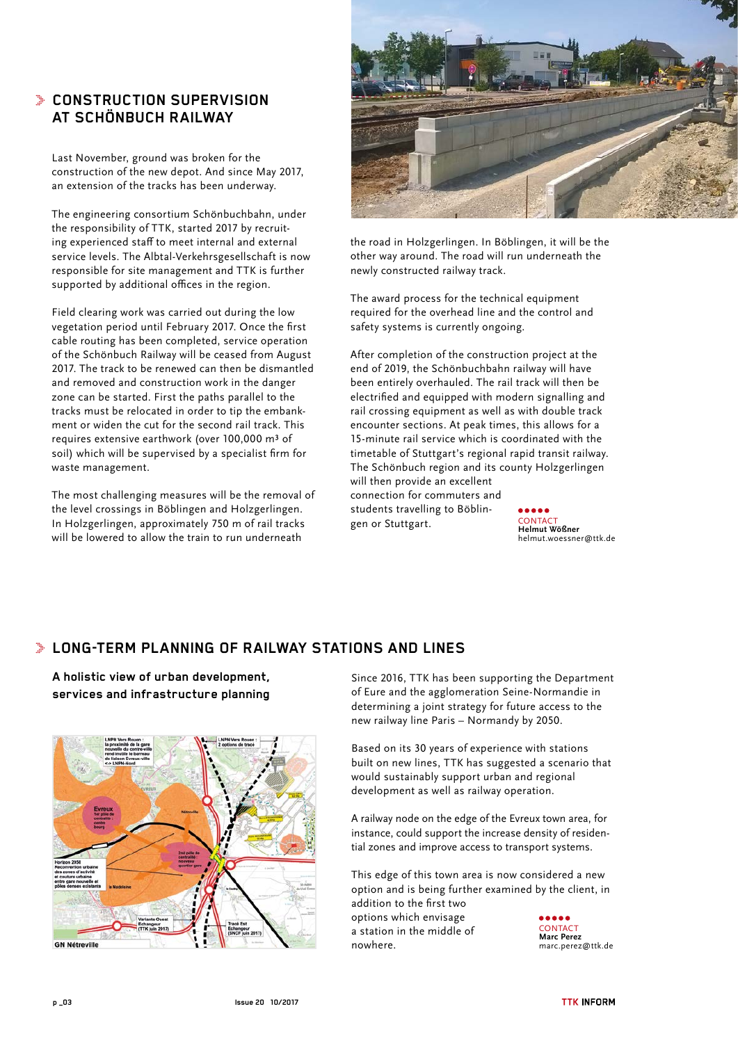# **CONSTRUCTION SUPERVISION AT SCHÖNBUCH RAILWAY**

Last November, ground was broken for the construction of the new depot. And since May 2017, an extension of the tracks has been underway.

The engineering consortium Schönbuchbahn, under the responsibility of TTK, started 2017 by recruiting experienced staff to meet internal and external service levels. The Albtal-Verkehrsgesellschaft is now responsible for site management and TTK is further supported by additional offices in the region.

Field clearing work was carried out during the low vegetation period until February 2017. Once the first cable routing has been completed, service operation of the Schönbuch Railway will be ceased from August 2017. The track to be renewed can then be dismantled and removed and construction work in the danger zone can be started. First the paths parallel to the tracks must be relocated in order to tip the embankment or widen the cut for the second rail track. This requires extensive earthwork (over 100,000 m<sup>3</sup> of soil) which will be supervised by a specialist firm for waste management.

The most challenging measures will be the removal of the level crossings in Böblingen and Holzgerlingen. In Holzgerlingen, approximately 750 m of rail tracks will be lowered to allow the train to run underneath



the road in Holzgerlingen. In Böblingen, it will be the other way around. The road will run underneath the newly constructed railway track.

The award process for the technical equipment required for the overhead line and the control and safety systems is currently ongoing.

After completion of the construction project at the end of 2019, the Schönbuchbahn railway will have been entirely overhauled. The rail track will then be electrified and equipped with modern signalling and rail crossing equipment as well as with double track encounter sections. At peak times, this allows for a 15-minute rail service which is coordinated with the timetable of Stuttgart's regional rapid transit railway. The Schönbuch region and its county Holzgerlingen will then provide an excellent connection for commuters and students travelling to Böblingen or Stuttgart.

**Helmut Wößner** helmut.woessner@ttk.de

# **LONG-TERM PLANNING OF RAILWAY STATIONS AND LINES**

**A holistic view of urban development, services and infrastructure planning**



Since 2016, TTK has been supporting the Department of Eure and the agglomeration Seine-Normandie in determining a joint strategy for future access to the new railway line Paris – Normandy by 2050.

Based on its 30 years of experience with stations built on new lines, TTK has suggested a scenario that would sustainably support urban and regional development as well as railway operation.

A railway node on the edge of the Evreux town area, for instance, could support the increase density of residential zones and improve access to transport systems.

This edge of this town area is now considered a new option and is being further examined by the client, in addition to the first two options which envisage a station in the middle of nowhere. **CONTACT Marc Perez**

marc.perez@ttk.de